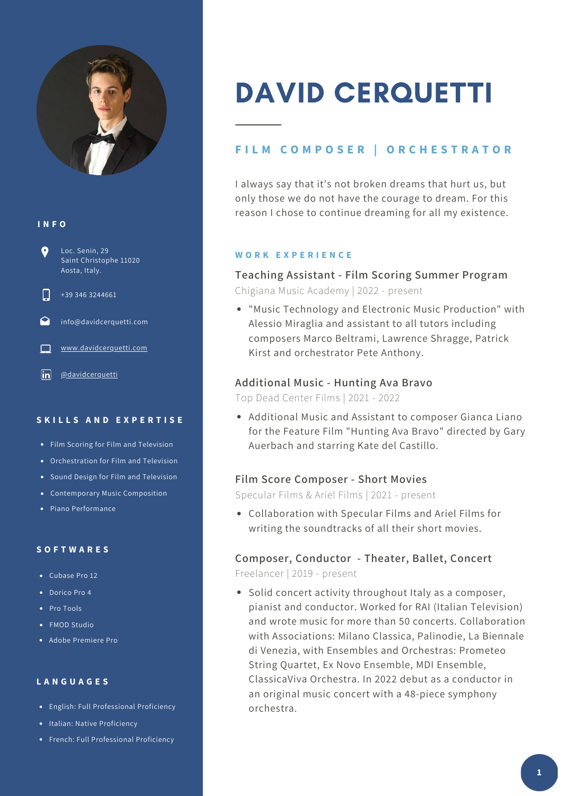

## **I N F O**



#### **S K I L L S A N D E X P E R T I S E**

- Film Scoring for Film and Television
- Orchestration for Film and Television
- **•** Sound Design for Film and Television
- Contemporary Music Composition
- Piano Performance

#### **S O F T W A R E S**

- Cubase Pro 12
- Dorico Pro 4
- Pro Tools
- FMOD Studio
- Adobe Premiere Pro

#### **L A N G U A G E S**

- English: Full Professional Proficiency
- Italian: Native Proficiency
- French: Full Professional Proficiency

# DAVID CERQUETTI

# **F I L M C O M P O S E R | O R C H E S T R A T O R**

I always say that it's not broken dreams that hurt us, but only those we do not have the courage to dream. For this reason I chose to continue dreaming for all my existence.

#### **W O R K E X P E R I E N C E**

# **Teaching Assistant - Film Scoring Summer Program** Chigiana Music Academy | 2022 - present

"Music Technology and Electronic Music Production" with Alessio Miraglia and assistant to all tutors including composers Marco Beltrami, Lawrence Shragge, Patrick Kirst and orchestrator Pete Anthony.

# **Additional Music - Hunting Ava Bravo**

Top Dead Center Films | 2021 - 2022

Additional Music and Assistant to composer Gianca Liano for the Feature Film "Hunting Ava Bravo" directed by Gary Auerbach and starring Kate del Castillo.

## **Film Score Composer - Short Movies**

Specular Films & Ariel Films | 2021 - present

Collaboration with Specular Films and Ariel Films for writing the soundtracks of all their short movies.

# **Composer, Conductor - Theater, Ballet, Concert** Freelancer | 2019 - present

• Solid concert activity throughout Italy as a composer, pianist and conductor. Worked for RAI (Italian Television) and wrote music for more than 50 concerts. Collaboration with Associations: Milano Classica, Palinodie, La Biennale di Venezia, with Ensembles and Orchestras: Prometeo String Quartet, Ex Novo Ensemble, MDI Ensemble, ClassicaViva Orchestra. In 2022 debut as a conductor in an original music concert with a 48-piece symphony orchestra.